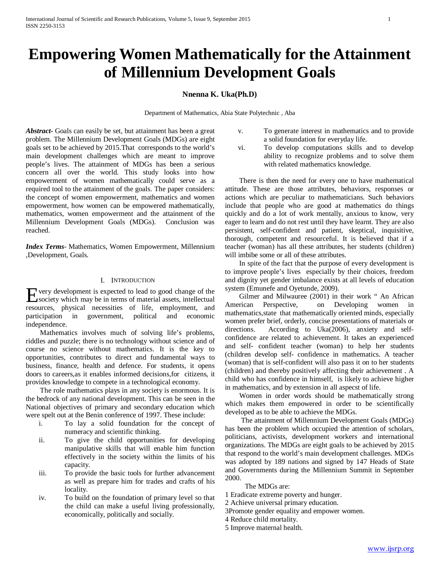# **Empowering Women Mathematically for the Attainment of Millennium Development Goals**

# **Nnenna K. Uka(Ph.D)**

Department of Mathematics, Abia State Polytechnic , Aba

*Abstract***-** Goals can easily be set, but attainment has been a great problem. The Millennium Development Goals (MDGs) are eight goals set to be achieved by 2015.That corresponds to the world's main development challenges which are meant to improve people's lives. The attainment of MDGs has been a serious concern all over the world. This study looks into how empowerment of women mathematically could serve as a required tool to the attainment of the goals. The paper considers: the concept of women empowerment, mathematics and women empowerment, how women can be empowered mathematically, mathematics, women empowerment and the attainment of the Millennium Development Goals (MDGs). Conclusion was reached.

*Index Terms*- Mathematics, Women Empowerment, Millennium ,Development, Goals.

#### I. INTRODUCTION

very development is expected to lead to good change of the Exery development is expected to lead to good change of the society which may be in terms of material assets, intellectual resources, physical necessities of life, employment, and participation in government, political and economic independence.

 Mathematics involves much of solving life's problems, riddles and puzzle; there is no technology without science and of course no science without mathematics. It is the key to opportunities, contributes to direct and fundamental ways to business, finance, health and defence. For students, it opens doors to careers,as it enables informed decisions,for citizens, it provides knowledge to compete in a technological economy.

 The role mathematics plays in any society is enormous. It is the bedrock of any national development. This can be seen in the National objectives of primary and secondary education which were spelt out at the Benin conference of 1997. These include:

- i. To lay a solid foundation for the concept of numeracy and scientific thinking.
- ii. To give the child opportunities for developing manipulative skills that will enable him function effectively in the society within the limits of his capacity.
- iii. To provide the basic tools for further advancement as well as prepare him for trades and crafts of his locality.
- iv. To build on the foundation of primary level so that the child can make a useful living professionally, economically, politically and socially.
- v. To generate interest in mathematics and to provide a solid foundation for everyday life.
- vi. To develop computations skills and to develop ability to recognize problems and to solve them with related mathematics knowledge.

 There is then the need for every one to have mathematical attitude. These are those attributes, behaviors, responses or actions which are peculiar to mathematicians. Such behaviors include that people who are good at mathematics do things quickly and do a lot of work mentally, anxious to know, very eager to learn and do not rest until they have learnt. They are also persistent, self-confident and patient, skeptical, inquisitive, thorough, competent and resourceful. It is believed that if a teacher (woman) has all these attributes, her students (children) will imbibe some or all of these attributes.

 In spite of the fact that the purpose of every development is to improve people's lives especially by their choices, freedom and dignity yet gender imbalance exists at all levels of education system (Emunefe and Oyetunde, 2009).

 Gilmer and Milwauree (2001) in their work " An African American Perspective, on Developing women in mathematics,state that mathematically oriented minds, especially women prefer brief, orderly, concise presentations of materials or directions. According to Uka(2006), anxiety and selfconfidence are related to achievement. It takes an experienced and self- confident teacher (woman) to help her students (children develop self- confidence in mathematics. A teacher (woman) that is self-confident will also pass it on to her students (children) and thereby positively affecting their achievement . A child who has confidence in himself, is likely to achieve higher in mathematics, and by extension in all aspecst of life.

 Women in order words should be mathematically strong which makes them empowered in order to be scientifically developed as to be able to achieve the MDGs.

 The attainment of Millennium Development Goals (MDGs) has been the problem which occupied the attention of scholars, politicians, activists, development workers and international organizations. The MDGs are eight goals to be achieved by 2015 that respond to the world's main development challenges. MDGs was adopted by 189 nations and signed by 147 Heads of State and Governments during the Millennium Summit in September 2000.

The MDGs are:

- 1 Eradicate extreme poverty and hunger.
- 2 Achieve universal primary education.
- 3Promote gender equality and empower women.
- 4 Reduce child mortality.
- 5 Improve maternal health.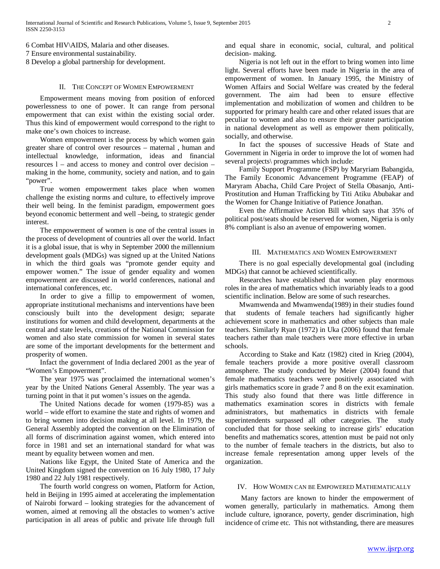6 Combat HIV\AIDS, Malaria and other diseases. 7 Ensure environmental sustainability. 8 Develop a global partnership for development.

## II. THE CONCEPT OF WOMEN EMPOWERMENT

 Empowerment means moving from position of enforced powerlessness to one of power. It can range from personal empowerment that can exist within the existing social order. Thus this kind of empowerment would correspond to the right to make one's own choices to increase.

 Women empowerment is the process by which women gain greater share of control over resources – maternal , human and intellectual knowledge, information, ideas and financial resources l – and access to money and control over decision – making in the home, community, society and nation, and to gain "power".

 True women empowerment takes place when women challenge the existing norms and culture, to effectively improve their well being. In the feminist paradigm, empowerment goes beyond economic betterment and well –being, to strategic gender interest.

 The empowerment of women is one of the central issues in the process of development of countries all over the world. Infact it is a global issue, that is why in September 2000 the millennium development goals (MDGs) was signed up at the United Nations in which the third goals was "promote gender equity and empower women." The issue of gender equality and women empowerment are discussed in world conferences, national and international conferences, etc.

 In order to give a fillip to empowerment of women, appropriate institutional mechanisms and interventions have been consciously built into the development design; separate institutions for women and child development, departments at the central and state levels, creations of the National Commission for women and also state commission for women in several states are some of the important developments for the betterment and prosperity of women.

 Infact the government of India declared 2001 as the year of "Women's Empowerment".

 The year 1975 was proclaimed the international women's year by the United Nations General Assembly. The year was a turning point in that it put women's issues on the agenda.

 The United Nations decade for women (1979-85) was a world – wide effort to examine the state and rights of women and to bring women into decision making at all level. In 1979, the General Assembly adopted the convention on the Elimination of all forms of discrimination against women, which entered into force in 1981 and set an international standard for what was meant by equality between women and men.

 Nations like Egypt, the United State of America and the United Kingdom signed the convention on 16 July 1980, 17 July 1980 and 22 July 1981 respectively.

 The fourth world congress on women, Platform for Action, held in Beijing in 1995 aimed at accelerating the implementation of Nairobi forward – looking strategies for the advancement of women, aimed at removing all the obstacles to women's active participation in all areas of public and private life through full and equal share in economic, social, cultural, and political decision- making.

 Nigeria is not left out in the effort to bring women into lime light. Several efforts have been made in Nigeria in the area of empowerment of women. In January 1995, the Ministry of Women Affairs and Social Welfare was created by the federal government. The aim had been to ensure effective implementation and mobilization of women and children to be supported for primary health care and other related issues that are peculiar to women and also to ensure their greater participation in national development as well as empower them politically, socially, and otherwise.

 In fact the spouses of successive Heads of State and Government in Nigeria in order to improve the lot of women had several projects\ programmes which include:

 Family Support Programme (FSP) by Maryriam Babangida, The Family Economic Advancement Programme (FEAP) of Maryram Abacha, Child Care Project of Stella Obasanjo, Anti-Prostitution and Human Trafficking by Titi Atiku Abubakar and the Women for Change Initiative of Patience Jonathan.

 Even the Affirmative Action Bill which says that 35% of political post/seats should be reserved for women, Nigeria is only 8% compliant is also an avenue of empowering women.

## III. MATHEMATICS AND WOMEN EMPOWERMENT

 There is no goal especially developmental goal (including MDGs) that cannot be achieved scientifically.

 Researches have established that women play enormous roles in the area of mathematics which invariably leads to a good scientific inclination. Below are some of such researches.

 Mwamwenda and Mwamwenda(1989) in their studies found that students of female teachers had significantly higher achievement score in mathematics and other subjects than male teachers. Similarly Ryan (1972) in Uka (2006) found that female teachers rather than male teachers were more effective in urban schools.

 According to Stake and Katz (1982) cited in Krieg (2004), female teachers provide a more positive overall classroom atmosphere. The study conducted by Meier (2004) found that female mathematics teachers were positively associated with girls mathematics score in grade 7 and 8 on the exit examination. This study also found that there was little difference in mathematics examination scores in districts with female administrators, but mathematics in districts with female superintendents surpassed all other categories. The study concluded that for those seeking to increase girls' education benefits and mathematics scores, attention must be paid not only to the number of female teachers in the districts, but also to increase female representation among upper levels of the organization.

#### IV. HOW WOMEN CAN BE EMPOWERED MATHEMATICALLY

 Many factors are known to hinder the empowerment of women generally, particularly in mathematics. Among them include culture, ignorance, poverty, gender discrimination, high incidence of crime etc. This not withstanding, there are measures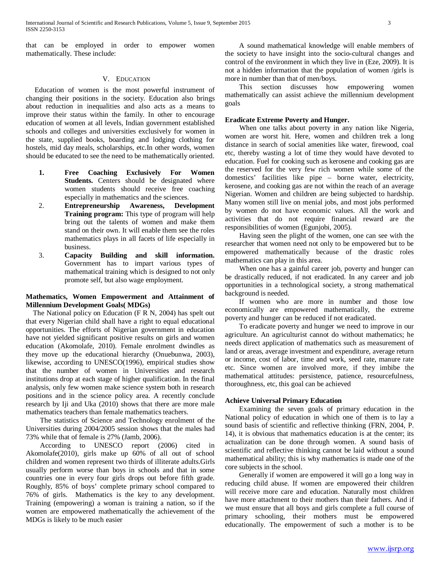that can be employed in order to empower women mathematically. These include:

## V. EDUCATION

Education of women is the most powerful instrument of changing their positions in the society. Education also brings about reduction in inequalities and also acts as a means to improve their status within the family. In other to encourage education of women at all levels, Indian government established schools and colleges and universities exclusively for women in the state, supplied books, boarding and lodging clothing for hostels, mid day meals, scholarships, etc.In other words, women should be educated to see the need to be mathematically oriented.

- **1. Free Coaching Exclusively For Women Students.** Centers should be designated where women students should receive free coaching especially in mathematics and the sciences.
- 2. **Entrepreneurship Awareness, Development Training program:** This type of program will help bring out the talents of women and make them stand on their own. It will enable them see the roles mathematics plays in all facets of life especially in business.
- 3. **Capacity Building and skill information.**  Government has to impart various types of mathematical training which is designed to not only promote self, but also wage employment.

## **Mathematics, Women Empowerment and Attainment of Millennium Development Goals( MDGs)**

The National policy on Education (F R N, 2004) has spelt out that every Nigerian child shall have a right to equal educational opportunities. The efforts of Nigerian government in education have not yielded significant positive results on girls and women education (Akomolafe, 2010). Female enrolment dwindles as they move up the educational hierarchy (Onuebunwa, 2003), likewise, according to UNESCO(1996), empirical studies show that the number of women in Universities and research institutions drop at each stage of higher qualification. In the final analysis, only few women make science system both in research positions and in the science policy area. A recently conclude research by Iji and Uka (2010) shows that there are more male mathematics teachers than female mathematics teachers.

 The statistics of Science and Technology enrolment of the Universities during 2004/2005 session shows that the males had 73% while that of female is 27% (Jamb, 2006).

 According to UNESCO report (2006) cited in Akomolafe(2010), girls make up 60% of all out of school children and women represent two thirds of illiterate adults.Girls usually perform worse than boys in schools and that in some countries one in every four girls drops out before fifth grade. Roughly, 85% of boys' complete primary school compared to 76% of girls. Mathematics is the key to any development. Training (empowering) a woman is training a nation, so if the women are empowered mathematically the achievement of the MDGs is likely to be much easier

 A sound mathematical knowledge will enable members of the society to have insight into the socio-cultural changes and control of the environment in which they live in (Eze, 2009). It is not a hidden information that the population of women /girls is more in number than that of men/boys.

 This section discusses how empowering women mathematically can assist achieve the millennium development goals

## **Eradicate Extreme Poverty and Hunger.**

 When one talks about poverty in any nation like Nigeria, women are worst hit. Here, women and children trek a long distance in search of social amenities like water, firewood, coal etc, thereby wasting a lot of time they would have devoted to education. Fuel for cooking such as kerosene and cooking gas are the reserved for the very few rich women while some of the domestics' facilities like pipe – borne water, electricity, kerosene, and cooking gas are not within the reach of an average Nigerian. Women and children are being subjected to hardship. Many women still live on menial jobs, and most jobs performed by women do not have economic values. All the work and activities that do not require financial reward are the responsibilities of women (Egunjobi, 2005).

 Having seen the plight of the women, one can see with the researcher that women need not only to be empowered but to be empowered mathematically because of the drastic roles mathematics can play in this area.

 When one has a gainful career job, poverty and hunger can be drastically reduced, if not eradicated. In any career and job opportunities in a technological society, a strong mathematical background is needed.

 If women who are more in number and those low economically are empowered mathematically, the extreme poverty and hunger can be reduced if not eradicated.

 To eradicate poverty and hunger we need to improve in our agriculture. An agriculturist cannot do without mathematics; he needs direct application of mathematics such as measurement of land or areas, average investment and expenditure, average return or income, cost of labor, time and work, seed rate, manure rate etc. Since women are involved more, if they imbibe the mathematical attitudes: persistence, patience, resourcefulness, thoroughness, etc, this goal can be achieved

## **Achieve Universal Primary Education**

 Examining the seven goals of primary education in the National policy of education in which one of them is to lay a sound basis of scientific and reflective thinking (FRN, 2004, P. 14), it is obvious that mathematics education is at the center; its actualization can be done through women. A sound basis of scientific and reflective thinking cannot be laid without a sound mathematical ability; this is why mathematics is made one of the core subjects in the school.

 Generally if women are empowered it will go a long way in reducing child abuse. If women are empowered their children will receive more care and education. Naturally most children have more attachment to their mothers than their fathers. And if we must ensure that all boys and girls complete a full course of primary schooling, their mothers must be empowered educationally. The empowerment of such a mother is to be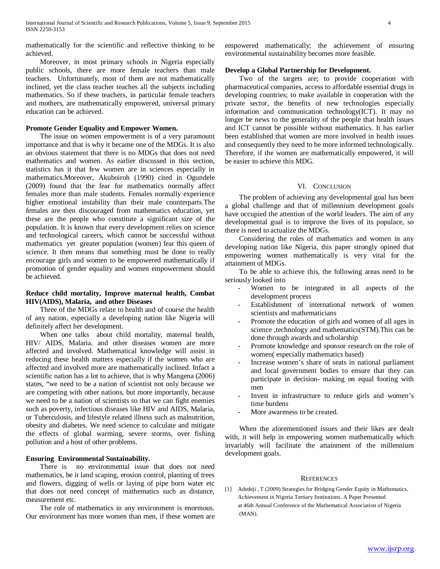mathematically for the scientific and reflective thinking to be achieved.

 Moreover, in most primary schools in Nigeria especially public schools, there are more female teachers than male teachers. Unfortunately, most of them are not mathematically inclined, yet the class teacher teaches all the subjects including mathematics. So if these teachers, in particular female teachers and mothers, are mathematically empowered, universal primary education can be achieved.

## **Promote Gender Equality and Empower Women.**

 The issue on women empowerment is of a very paramount importance and that is why it became one of the MDGs. It is also an obvious statement that there is no MDGs that does not need mathematics and women. As earlier discussed in this section, statistics has it that few women are in sciences especially in mathematics.Moreover, Akuboiroh (1990) cited in Ogundele (2009) found that the fear for mathematics normally affect females more than male students. Females normally experience higher emotional instability than their male counterparts.The females are then discouraged from mathematics education, yet these are the people who constitute a significant size of the population. It is known that every development relies on science and technological careers, which cannot be successful without mathematics yet greater population (women) fear this queen of science. It then means that something must be done to really encourage girls and women to be empowered mathematically if promotion of gender equality and women empowerment should be achieved.

## **Reduce child mortality, Improve maternal health, Combat HIV(AIDS), Malaria, and other Diseases**

 Three of the MDGs relate to health and of course the health of any nation, especially a developing nation like Nigeria will definitely affect her development.

 When one talks about child mortality, maternal health, HIV/ AIDS, Malaria. and other diseases women are more affected and involved. Mathematical knowledge will assist in reducing these health matters especially if the women who are affected and involved more are mathematically inclined. Infact a scientific nation has a lot to achieve, that is why Mangena (2006) states, "we need to be a nation of scientist not only because we are competing with other nations, but more importantly, because we need to be a nation of scientists so that we can fight enemies such as poverty, infectious diseases like HIV and AIDS, Malaria, or Tuberculosis, and lifestyle related illness such as malnutrition, obesity and diabetes. We need science to calculate and mitigate the effects of global warming, severe storms, over fishing pollution and a host of other problems.

#### **Ensuring Environmental Sustainability.**

 There is no environmental issue that does not need mathematics, be it land scaping, erosion control, planting of trees and flowers, digging of wells or laying of pipe born water etc that does not need concept of mathematics such as distance, measurement etc.

 The role of mathematics in any environment is enormous. Our environment has more women than men, if these women are empowered mathematically; the achievement of ensuring environmental sustainability becomes more feasible.

#### **Develop a Global Partnership for Development.**

 Two of the targets are; to provide cooperation with pharmaceutical companies, access to affordable essential drugs in developing countries; to make available in cooperation with the private sector, the benefits of new technologies especially information and communication technology(ICT). It may no longer be news to the generality of the people that health issues and ICT cannot be possible without mathematics. It has earlier been established that women are more involved in health issues and consequently they need to be more informed technologically. Therefore, if the women are mathematically empowered, it will be easier to achieve this MDG.

## VI. CONCLUSION

 The problem of achieving any developmental goal has been a global challenge and that of millennium development goals have occupied the attention of the world leaders. The aim of any developmental goal is to improve the lives of its populace, so there is need to actualize the MDGs.

 Considering the roles of mathematics and women in any developing nation like Nigeria, this paper strongly opined that empowering women mathematically is very vital for the attainment of MDGs.

 To be able to achieve this, the following areas need to be seriously looked into

- Women to be integrated in all aspects of the development process
- Establishment of international network of women scientists and mathematicians
- Promote the education of girls and women of all ages in science ,technology and mathematics(STM).This can be done through awards and scholarship
- Promote knowledge and sponsor research on the role of women( especially mathematics based)
- Increase women's share of seats in national parliament and local government bodies to ensure that they can participate in decision- making on equal footing with men
- Invest in infrastructure to reduce girls and women's time burdens
- More awareness to be created.

 When the aforementioned issues and their likes are dealt with, it will help in empowering women mathematically which invariably will facilitate the attainment of the millennium development goals.

#### **REFERENCES**

[1] Adedeji , T (2009) Strategies for Bridging Gender Equity in Mathematics. Achievement in Nigeria Tertiary Institutions. A Paper Presented at 46th Annual Conference of the Mathematical Association of Nigeria (MAN).